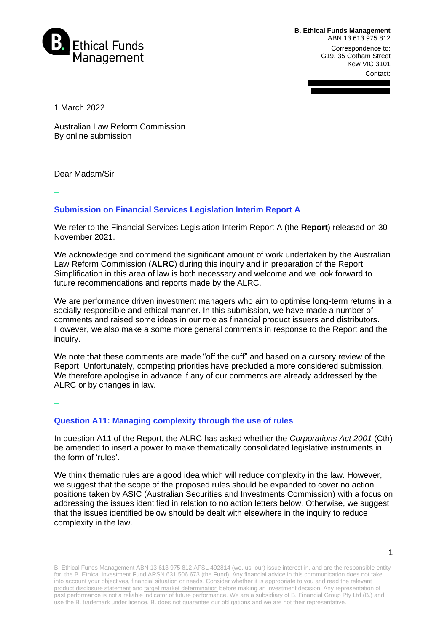

**B. Ethical Funds Management**  ABN 13 613 975 812 Correspondence to: G19, 35 Cotham Street Kew VIC 3101 Contact:

1 March 2022

Australian Law Reform Commission By online submission

Dear Madam/Sir

**–**

## **Submission on Financial Services Legislation Interim Report A**

We refer to the Financial Services Legislation Interim Report A (the **Report**) released on 30 November 2021.

We acknowledge and commend the significant amount of work undertaken by the Australian Law Reform Commission (**ALRC**) during this inquiry and in preparation of the Report. Simplification in this area of law is both necessary and welcome and we look forward to future recommendations and reports made by the ALRC.

We are performance driven investment managers who aim to optimise long-term returns in a socially responsible and ethical manner. In this submission, we have made a number of comments and raised some ideas in our role as financial product issuers and distributors. However, we also make a some more general comments in response to the Report and the inquiry.

We note that these comments are made "off the cuff" and based on a cursory review of the Report. Unfortunately, competing priorities have precluded a more considered submission. We therefore apologise in advance if any of our comments are already addressed by the ALRC or by changes in law.

**–**

#### **Question A11: Managing complexity through the use of rules**

In question A11 of the Report, the ALRC has asked whether the *Corporations Act 2001* (Cth) be amended to insert a power to make thematically consolidated legislative instruments in the form of 'rules'.

We think thematic rules are a good idea which will reduce complexity in the law. However, we suggest that the scope of the proposed rules should be expanded to cover no action positions taken by ASIC (Australian Securities and Investments Commission) with a focus on addressing the issues identified in relation to no action letters below. Otherwise, we suggest that the issues identified below should be dealt with elsewhere in the inquiry to reduce complexity in the law.

B. Ethical Funds Management ABN 13 613 975 812 AFSL 492814 (we, us, our) issue interest in, and are the responsible entity for, the B. Ethical Investment Fund ARSN 631 506 673 (the Fund). Any financial advice in this communication does not take into account your objectives, financial situation or needs. Consider whether it is appropriate to you and read the relevant product disclosure statement and target market determination before making an investment decision. Any representation of past performance is not a reliable indicator of future performance. We are a subsidiary of B. Financial Group Pty Ltd (B.) and use the B. trademark under licence. B. does not guarantee our obligations and we are not their representative.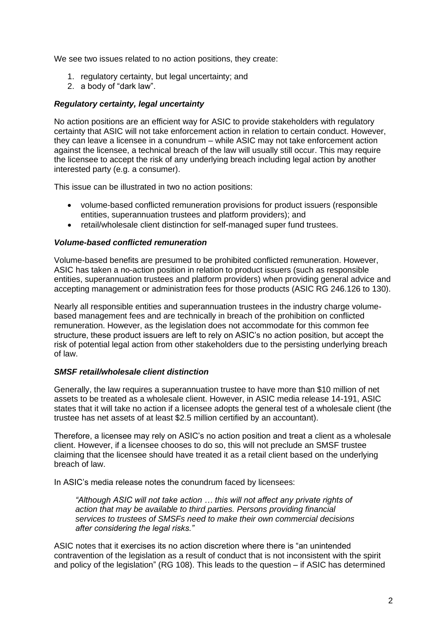We see two issues related to no action positions, they create:

- 1. regulatory certainty, but legal uncertainty; and
- 2. a body of "dark law".

#### *Regulatory certainty, legal uncertainty*

No action positions are an efficient way for ASIC to provide stakeholders with regulatory certainty that ASIC will not take enforcement action in relation to certain conduct. However, they can leave a licensee in a conundrum – while ASIC may not take enforcement action against the licensee, a technical breach of the law will usually still occur. This may require the licensee to accept the risk of any underlying breach including legal action by another interested party (e.g. a consumer).

This issue can be illustrated in two no action positions:

- volume-based conflicted remuneration provisions for product issuers (responsible entities, superannuation trustees and platform providers); and
- retail/wholesale client distinction for self-managed super fund trustees.

#### *Volume-based conflicted remuneration*

Volume-based benefits are presumed to be prohibited conflicted remuneration. However, ASIC has taken a no-action position in relation to product issuers (such as responsible entities, superannuation trustees and platform providers) when providing general advice and accepting management or administration fees for those products (ASIC RG 246.126 to 130).

Nearly all responsible entities and superannuation trustees in the industry charge volumebased management fees and are technically in breach of the prohibition on conflicted remuneration. However, as the legislation does not accommodate for this common fee structure, these product issuers are left to rely on ASIC's no action position, but accept the risk of potential legal action from other stakeholders due to the persisting underlying breach of law.

#### *SMSF retail/wholesale client distinction*

Generally, the law requires a superannuation trustee to have more than \$10 million of net assets to be treated as a wholesale client. However, in ASIC media release 14-191, ASIC states that it will take no action if a licensee adopts the general test of a wholesale client (the trustee has net assets of at least \$2.5 million certified by an accountant).

Therefore, a licensee may rely on ASIC's no action position and treat a client as a wholesale client. However, if a licensee chooses to do so, this will not preclude an SMSF trustee claiming that the licensee should have treated it as a retail client based on the underlying breach of law.

In ASIC's media release notes the conundrum faced by licensees:

*"Although ASIC will not take action … this will not affect any private rights of action that may be available to third parties. Persons providing financial services to trustees of SMSFs need to make their own commercial decisions after considering the legal risks."*

ASIC notes that it exercises its no action discretion where there is "an unintended contravention of the legislation as a result of conduct that is not inconsistent with the spirit and policy of the legislation" (RG 108). This leads to the question – if ASIC has determined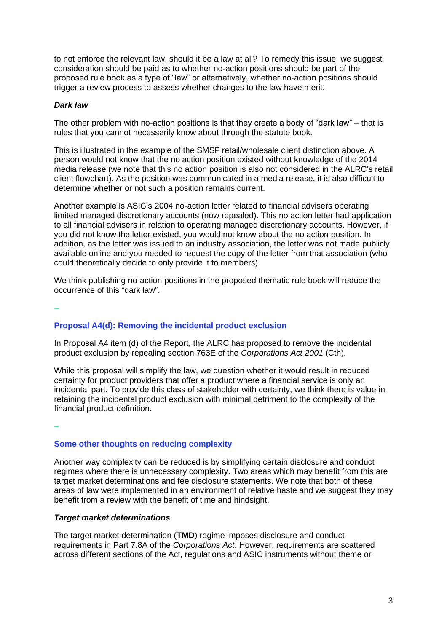to not enforce the relevant law, should it be a law at all? To remedy this issue, we suggest consideration should be paid as to whether no-action positions should be part of the proposed rule book as a type of "law" or alternatively, whether no-action positions should trigger a review process to assess whether changes to the law have merit.

### *Dark law*

The other problem with no-action positions is that they create a body of "dark law" – that is rules that you cannot necessarily know about through the statute book.

This is illustrated in the example of the SMSF retail/wholesale client distinction above. A person would not know that the no action position existed without knowledge of the 2014 media release (we note that this no action position is also not considered in the ALRC's retail client flowchart). As the position was communicated in a media release, it is also difficult to determine whether or not such a position remains current.

Another example is ASIC's 2004 no-action letter related to financial advisers operating limited managed discretionary accounts (now repealed). This no action letter had application to all financial advisers in relation to operating managed discretionary accounts. However, if you did not know the letter existed, you would not know about the no action position. In addition, as the letter was issued to an industry association, the letter was not made publicly available online and you needed to request the copy of the letter from that association (who could theoretically decide to only provide it to members).

We think publishing no-action positions in the proposed thematic rule book will reduce the occurrence of this "dark law".

**–**

## **Proposal A4(d): Removing the incidental product exclusion**

In Proposal A4 item (d) of the Report, the ALRC has proposed to remove the incidental product exclusion by repealing section 763E of the *Corporations Act 2001* (Cth).

While this proposal will simplify the law, we question whether it would result in reduced certainty for product providers that offer a product where a financial service is only an incidental part. To provide this class of stakeholder with certainty, we think there is value in retaining the incidental product exclusion with minimal detriment to the complexity of the financial product definition.

**–**

# **Some other thoughts on reducing complexity**

Another way complexity can be reduced is by simplifying certain disclosure and conduct regimes where there is unnecessary complexity. Two areas which may benefit from this are target market determinations and fee disclosure statements. We note that both of these areas of law were implemented in an environment of relative haste and we suggest they may benefit from a review with the benefit of time and hindsight.

## *Target market determinations*

The target market determination (**TMD**) regime imposes disclosure and conduct requirements in Part 7.8A of the *Corporations Act*. However, requirements are scattered across different sections of the Act, regulations and ASIC instruments without theme or